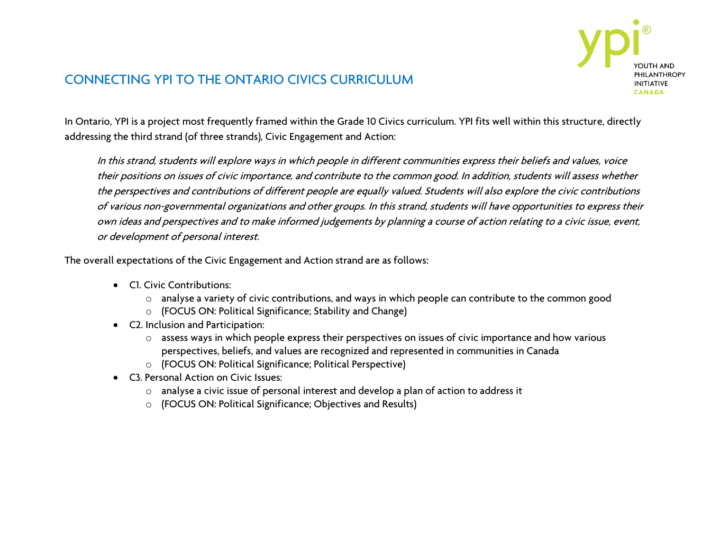

## CONNECTING YPI TO THE ONTARIO CIVICS CURRICULUM

In Ontario, YPI is a project most frequently framed within the Grade 10 Civics curriculum. YPI fits well within this structure, directly addressing the third strand (of three strands), Civic Engagement and Action:

In this strand, students will explore ways in which people in different communities express their beliefs and values, voice their positions on issues of civic importance, and contribute to the common good. In addition, students will assess whether the perspectives and contributions of different people are equally valued. Students will also explore the civic contributions of various non-governmental organizations and other groups. In this strand, students will have opportunities to express their own ideas and perspectives and to make informed judgements by planning a course of action relating to a civic issue, event, or development of personal interest.

The overall expectations of the Civic Engagement and Action strand are as follows:

- C1. Civic Contributions:
	- o analyse a variety of civic contributions, and ways in which people can contribute to the common good
	- o (FOCUS ON: Political Significance; Stability and Change)
- C2. Inclusion and Participation:
	- o assess ways in which people express their perspectives on issues of civic importance and how various perspectives, beliefs, and values are recognized and represented in communities in Canada
	- o (FOCUS ON: Political Significance; Political Perspective)
- C3. Personal Action on Civic Issues:
	- o analyse a civic issue of personal interest and develop a plan of action to address it
	- o (FOCUS ON: Political Significance; Objectives and Results)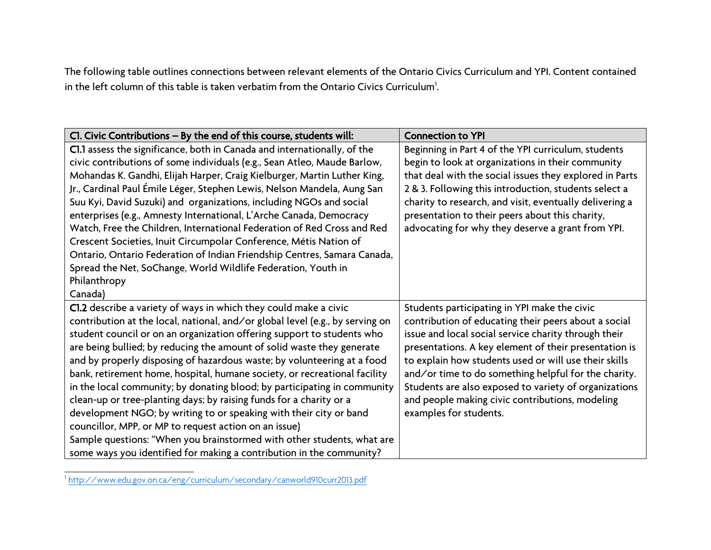The following table outlines connections between relevant elements of the Ontario Civics Curriculum and YPI. Content contained in the left column of this table is taken verbatim from the Ontario Civics Curriculum $^{\rm l}$ .

| CI. Civic Contributions - By the end of this course, students will:           | <b>Connection to YPI</b>                                |
|-------------------------------------------------------------------------------|---------------------------------------------------------|
| Cl.1 assess the significance, both in Canada and internationally, of the      | Beginning in Part 4 of the YPI curriculum, students     |
| civic contributions of some individuals (e.g., Sean Atleo, Maude Barlow,      | begin to look at organizations in their community       |
| Mohandas K. Gandhi, Elijah Harper, Craig Kielburger, Martin Luther King,      | that deal with the social issues they explored in Parts |
| Jr., Cardinal Paul Émile Léger, Stephen Lewis, Nelson Mandela, Aung San       | 2 & 3. Following this introduction, students select a   |
| Suu Kyi, David Suzuki) and organizations, including NGOs and social           | charity to research, and visit, eventually delivering a |
| enterprises (e.g., Amnesty International, L'Arche Canada, Democracy           | presentation to their peers about this charity,         |
| Watch, Free the Children, International Federation of Red Cross and Red       | advocating for why they deserve a grant from YPI.       |
| Crescent Societies, Inuit Circumpolar Conference, Métis Nation of             |                                                         |
| Ontario, Ontario Federation of Indian Friendship Centres, Samara Canada,      |                                                         |
| Spread the Net, SoChange, World Wildlife Federation, Youth in                 |                                                         |
| Philanthropy                                                                  |                                                         |
| Canada)                                                                       |                                                         |
| Cl.2 describe a variety of ways in which they could make a civic              | Students participating in YPI make the civic            |
| contribution at the local, national, and/or global level (e.g., by serving on | contribution of educating their peers about a social    |
| student council or on an organization offering support to students who        | issue and local social service charity through their    |
| are being bullied; by reducing the amount of solid waste they generate        | presentations. A key element of their presentation is   |
| and by properly disposing of hazardous waste; by volunteering at a food       | to explain how students used or will use their skills   |
| bank, retirement home, hospital, humane society, or recreational facility     | and/or time to do something helpful for the charity.    |
| in the local community; by donating blood; by participating in community      | Students are also exposed to variety of organizations   |
| clean-up or tree-planting days; by raising funds for a charity or a           | and people making civic contributions, modeling         |
| development NGO; by writing to or speaking with their city or band            | examples for students.                                  |
| councillor, MPP, or MP to request action on an issue)                         |                                                         |
| Sample questions: "When you brainstormed with other students, what are        |                                                         |
| some ways you identified for making a contribution in the community?          |                                                         |

<sup>|&</sup>lt;br>| <http://www.edu.gov.on.ca/eng/curriculum/secondary/canworld910curr2013.pdf>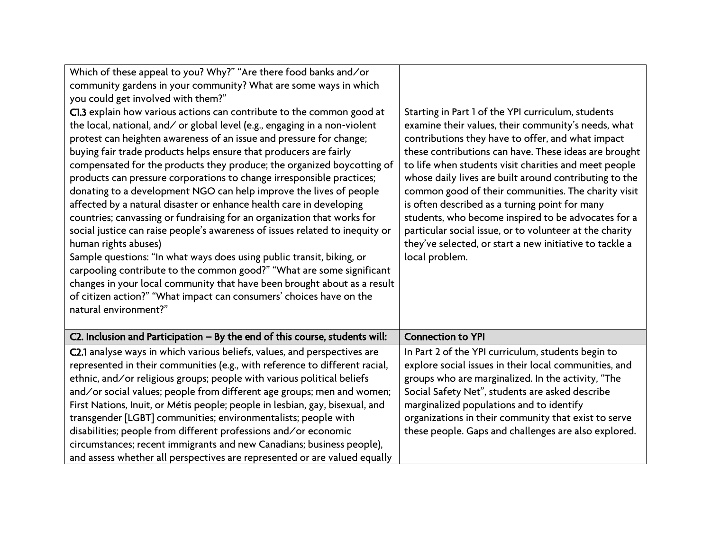| Which of these appeal to you? Why?" "Are there food banks and/or              |                                                         |
|-------------------------------------------------------------------------------|---------------------------------------------------------|
| community gardens in your community? What are some ways in which              |                                                         |
| you could get involved with them?"                                            |                                                         |
| Cl.3 explain how various actions can contribute to the common good at         | Starting in Part 1 of the YPI curriculum, students      |
| the local, national, and/ or global level (e.g., engaging in a non-violent    | examine their values, their community's needs, what     |
| protest can heighten awareness of an issue and pressure for change;           | contributions they have to offer, and what impact       |
| buying fair trade products helps ensure that producers are fairly             | these contributions can have. These ideas are brought   |
| compensated for the products they produce; the organized boycotting of        | to life when students visit charities and meet people   |
| products can pressure corporations to change irresponsible practices;         | whose daily lives are built around contributing to the  |
| donating to a development NGO can help improve the lives of people            | common good of their communities. The charity visit     |
| affected by a natural disaster or enhance health care in developing           | is often described as a turning point for many          |
| countries; canvassing or fundraising for an organization that works for       | students, who become inspired to be advocates for a     |
| social justice can raise people's awareness of issues related to inequity or  | particular social issue, or to volunteer at the charity |
| human rights abuses)                                                          | they've selected, or start a new initiative to tackle a |
| Sample questions: "In what ways does using public transit, biking, or         | local problem.                                          |
| carpooling contribute to the common good?" "What are some significant         |                                                         |
| changes in your local community that have been brought about as a result      |                                                         |
| of citizen action?" "What impact can consumers' choices have on the           |                                                         |
| natural environment?"                                                         |                                                         |
| C2. Inclusion and Participation $-$ By the end of this course, students will: | <b>Connection to YPI</b>                                |
|                                                                               |                                                         |
| C2.1 analyse ways in which various beliefs, values, and perspectives are      | In Part 2 of the YPI curriculum, students begin to      |
| represented in their communities (e.g., with reference to different racial,   | explore social issues in their local communities, and   |
| ethnic, and/or religious groups; people with various political beliefs        | groups who are marginalized. In the activity, "The      |
| and/or social values; people from different age groups; men and women;        | Social Safety Net", students are asked describe         |
| First Nations, Inuit, or Métis people; people in lesbian, gay, bisexual, and  | marginalized populations and to identify                |
| transgender [LGBT] communities; environmentalists; people with                | organizations in their community that exist to serve    |
| disabilities; people from different professions and/or economic               | these people. Gaps and challenges are also explored.    |
| circumstances; recent immigrants and new Canadians; business people),         |                                                         |
| and assess whether all perspectives are represented or are valued equally     |                                                         |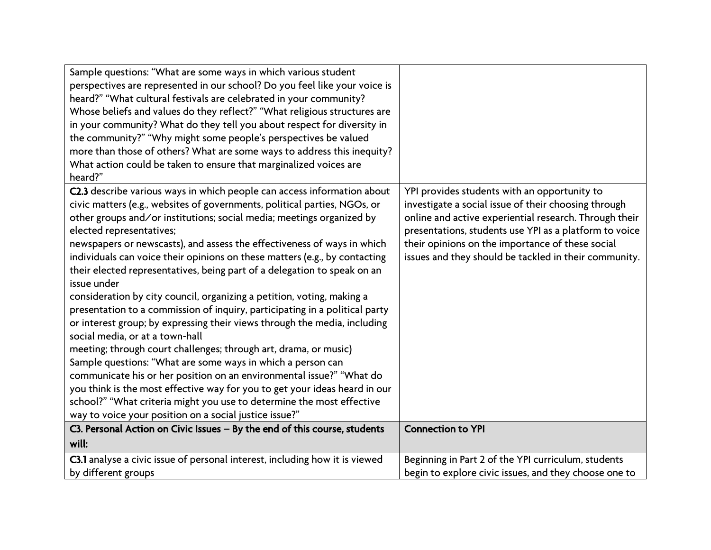| Sample questions: "What are some ways in which various student<br>perspectives are represented in our school? Do you feel like your voice is<br>heard?" "What cultural festivals are celebrated in your community?<br>Whose beliefs and values do they reflect?" "What religious structures are<br>in your community? What do they tell you about respect for diversity in<br>the community?" "Why might some people's perspectives be valued<br>more than those of others? What are some ways to address this inequity?<br>What action could be taken to ensure that marginalized voices are<br>heard?"                                                                                                                                                                                                                                                                                                                                                                                                                                                                                                                                                                                                           |                                                                                                                                                                                                                                                                                                                                       |
|--------------------------------------------------------------------------------------------------------------------------------------------------------------------------------------------------------------------------------------------------------------------------------------------------------------------------------------------------------------------------------------------------------------------------------------------------------------------------------------------------------------------------------------------------------------------------------------------------------------------------------------------------------------------------------------------------------------------------------------------------------------------------------------------------------------------------------------------------------------------------------------------------------------------------------------------------------------------------------------------------------------------------------------------------------------------------------------------------------------------------------------------------------------------------------------------------------------------|---------------------------------------------------------------------------------------------------------------------------------------------------------------------------------------------------------------------------------------------------------------------------------------------------------------------------------------|
| C2.3 describe various ways in which people can access information about<br>civic matters (e.g., websites of governments, political parties, NGOs, or<br>other groups and/or institutions; social media; meetings organized by<br>elected representatives;<br>newspapers or newscasts), and assess the effectiveness of ways in which<br>individuals can voice their opinions on these matters (e.g., by contacting<br>their elected representatives, being part of a delegation to speak on an<br>issue under<br>consideration by city council, organizing a petition, voting, making a<br>presentation to a commission of inquiry, participating in a political party<br>or interest group; by expressing their views through the media, including<br>social media, or at a town-hall<br>meeting; through court challenges; through art, drama, or music)<br>Sample questions: "What are some ways in which a person can<br>communicate his or her position on an environmental issue?" "What do<br>you think is the most effective way for you to get your ideas heard in our<br>school?" "What criteria might you use to determine the most effective<br>way to voice your position on a social justice issue?" | YPI provides students with an opportunity to<br>investigate a social issue of their choosing through<br>online and active experiential research. Through their<br>presentations, students use YPI as a platform to voice<br>their opinions on the importance of these social<br>issues and they should be tackled in their community. |
| C3. Personal Action on Civic Issues - By the end of this course, students                                                                                                                                                                                                                                                                                                                                                                                                                                                                                                                                                                                                                                                                                                                                                                                                                                                                                                                                                                                                                                                                                                                                          | <b>Connection to YPI</b>                                                                                                                                                                                                                                                                                                              |
| will:                                                                                                                                                                                                                                                                                                                                                                                                                                                                                                                                                                                                                                                                                                                                                                                                                                                                                                                                                                                                                                                                                                                                                                                                              |                                                                                                                                                                                                                                                                                                                                       |
| C3.1 analyse a civic issue of personal interest, including how it is viewed                                                                                                                                                                                                                                                                                                                                                                                                                                                                                                                                                                                                                                                                                                                                                                                                                                                                                                                                                                                                                                                                                                                                        | Beginning in Part 2 of the YPI curriculum, students                                                                                                                                                                                                                                                                                   |
| by different groups                                                                                                                                                                                                                                                                                                                                                                                                                                                                                                                                                                                                                                                                                                                                                                                                                                                                                                                                                                                                                                                                                                                                                                                                | begin to explore civic issues, and they choose one to                                                                                                                                                                                                                                                                                 |